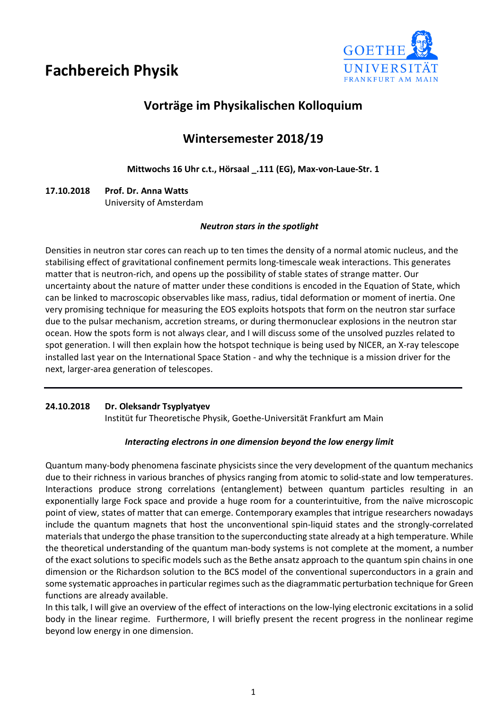# **Fachbereich Physik**



# **Vorträge im Physikalischen Kolloquium**

# **Wintersemester 2018/19**

## **Mittwochs 16 Uhr c.t., Hörsaal \_.111 (EG), Max-von-Laue-Str. 1**

# **17.10.2018 Prof. Dr. Anna Watts** University of Amsterdam

### *Neutron stars in the spotlight*

Densities in neutron star cores can reach up to ten times the density of a normal atomic nucleus, and the stabilising effect of gravitational confinement permits long-timescale weak interactions. This generates matter that is neutron-rich, and opens up the possibility of stable states of strange matter. Our uncertainty about the nature of matter under these conditions is encoded in the Equation of State, which can be linked to macroscopic observables like mass, radius, tidal deformation or moment of inertia. One very promising technique for measuring the EOS exploits hotspots that form on the neutron star surface due to the pulsar mechanism, accretion streams, or during thermonuclear explosions in the neutron star ocean. How the spots form is not always clear, and I will discuss some of the unsolved puzzles related to spot generation. I will then explain how the hotspot technique is being used by NICER, an X-ray telescope installed last year on the International Space Station - and why the technique is a mission driver for the next, larger-area generation of telescopes.

#### **24.10.2018 Dr. Oleksandr Tsyplyatyev**

Institüt fur Theoretische Physik, Goethe-Universität Frankfurt am Main

#### *Interacting electrons in one dimension beyond the low energy limit*

Quantum many-body phenomena fascinate physicists since the very development of the quantum mechanics due to their richness in various branches of physics ranging from atomic to solid-state and low temperatures. Interactions produce strong correlations (entanglement) between quantum particles resulting in an exponentially large Fock space and provide a huge room for a counterintuitive, from the naïve microscopic point of view, states of matter that can emerge. Contemporary examples that intrigue researchers nowadays include the quantum magnets that host the unconventional spin-liquid states and the strongly-correlated materials that undergo the phase transition to the superconducting state already at a high temperature. While the theoretical understanding of the quantum man-body systems is not complete at the moment, a number of the exact solutions to specific models such as the Bethe ansatz approach to the quantum spin chains in one dimension or the Richardson solution to the BCS model of the conventional superconductors in a grain and some systematic approaches in particular regimes such as the diagrammatic perturbation technique for Green functions are already available.

In this talk, I will give an overview of the effect of interactions on the low-lying electronic excitations in a solid body in the linear regime. Furthermore, I will briefly present the recent progress in the nonlinear regime beyond low energy in one dimension.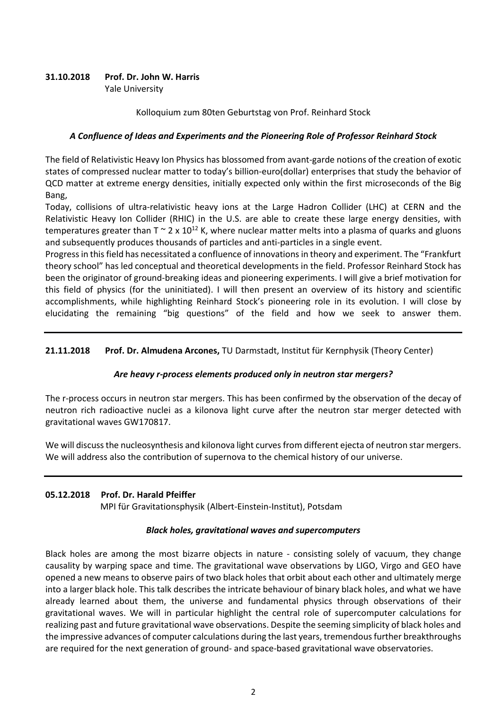# **31.10.2018 Prof. Dr. John W. Harris**

Yale University

#### Kolloquium zum 80ten Geburtstag von Prof. Reinhard Stock

#### *A Confluence of Ideas and Experiments and the Pioneering Role of Professor Reinhard Stock*

The field of Relativistic Heavy Ion Physics has blossomed from avant-garde notions of the creation of exotic states of compressed nuclear matter to today's billion-euro(dollar) enterprises that study the behavior of QCD matter at extreme energy densities, initially expected only within the first microseconds of the Big Bang,

Today, collisions of ultra-relativistic heavy ions at the Large Hadron Collider (LHC) at CERN and the Relativistic Heavy Ion Collider (RHIC) in the U.S. are able to create these large energy densities, with temperatures greater than  $T \sim 2 \times 10^{12}$  K, where nuclear matter melts into a plasma of quarks and gluons and subsequently produces thousands of particles and anti-particles in a single event.

Progress in this field has necessitated a confluence of innovations in theory and experiment. The "Frankfurt theory school" has led conceptual and theoretical developments in the field. Professor Reinhard Stock has been the originator of ground-breaking ideas and pioneering experiments. I will give a brief motivation for this field of physics (for the uninitiated). I will then present an overview of its history and scientific accomplishments, while highlighting Reinhard Stock's pioneering role in its evolution. I will close by elucidating the remaining "big questions" of the field and how we seek to answer them.

#### **21.11.2018 Prof. Dr. Almudena Arcones,** TU Darmstadt, Institut für Kernphysik (Theory Center)

#### *Are heavy r-process elements produced only in neutron star mergers?*

The r-process occurs in neutron star mergers. This has been confirmed by the observation of the decay of neutron rich radioactive nuclei as a kilonova light curve after the neutron star merger detected with gravitational waves GW170817.

We will discuss the nucleosynthesis and kilonova light curves from different ejecta of neutron star mergers. We will address also the contribution of supernova to the chemical history of our universe.

#### **05.12.2018 Prof. Dr. Harald Pfeiffer**

MPI für Gravitationsphysik (Albert-Einstein-Institut), Potsdam

#### *Black holes, gravitational waves and supercomputers*

Black holes are among the most bizarre objects in nature - consisting solely of vacuum, they change causality by warping space and time. The gravitational wave observations by LIGO, Virgo and GEO have opened a new means to observe pairs of two black holes that orbit about each other and ultimately merge into a larger black hole. This talk describes the intricate behaviour of binary black holes, and what we have already learned about them, the universe and fundamental physics through observations of their gravitational waves. We will in particular highlight the central role of supercomputer calculations for realizing past and future gravitational wave observations. Despite the seeming simplicity of black holes and the impressive advances of computer calculations during the last years, tremendous further breakthroughs are required for the next generation of ground- and space-based gravitational wave observatories.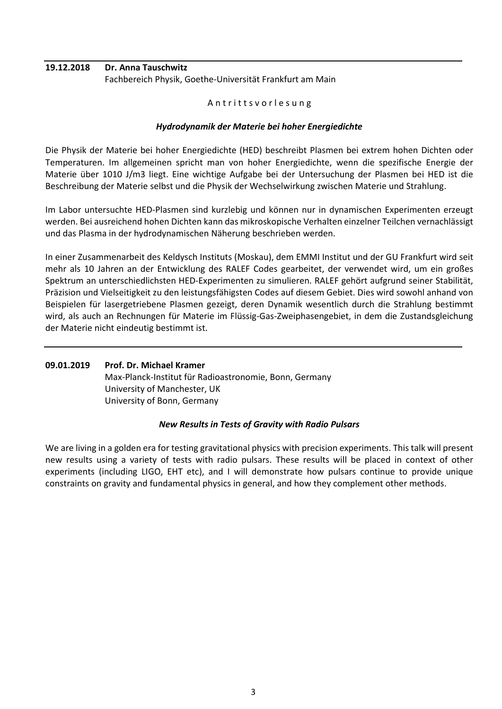# **19.12.2018 Dr. Anna Tauschwitz** Fachbereich Physik, Goethe-Universität Frankfurt am Main

#### Antritts v or lesung

### *Hydrodynamik der Materie bei hoher Energiedichte*

Die Physik der Materie bei hoher Energiedichte (HED) beschreibt Plasmen bei extrem hohen Dichten oder Temperaturen. Im allgemeinen spricht man von hoher Energiedichte, wenn die spezifische Energie der Materie über 1010 J/m3 liegt. Eine wichtige Aufgabe bei der Untersuchung der Plasmen bei HED ist die Beschreibung der Materie selbst und die Physik der Wechselwirkung zwischen Materie und Strahlung.

Im Labor untersuchte HED-Plasmen sind kurzlebig und können nur in dynamischen Experimenten erzeugt werden. Bei ausreichend hohen Dichten kann das mikroskopische Verhalten einzelner Teilchen vernachlässigt und das Plasma in der hydrodynamischen Näherung beschrieben werden.

In einer Zusammenarbeit des Keldysch Instituts (Moskau), dem EMMI Institut und der GU Frankfurt wird seit mehr als 10 Jahren an der Entwicklung des RALEF Codes gearbeitet, der verwendet wird, um ein großes Spektrum an unterschiedlichsten HED-Experimenten zu simulieren. RALEF gehört aufgrund seiner Stabilität, Präzision und Vielseitigkeit zu den leistungsfähigsten Codes auf diesem Gebiet. Dies wird sowohl anhand von Beispielen für lasergetriebene Plasmen gezeigt, deren Dynamik wesentlich durch die Strahlung bestimmt wird, als auch an Rechnungen für Materie im Flüssig-Gas-Zweiphasengebiet, in dem die Zustandsgleichung der Materie nicht eindeutig bestimmt ist.

#### **09.01.2019 Prof. Dr. Michael Kramer** Max-Planck-Institut für Radioastronomie, Bonn, Germany University of Manchester, UK University of Bonn, Germany

#### *New Results in Tests of Gravity with Radio Pulsars*

We are living in a golden era for testing gravitational physics with precision experiments. This talk will present new results using a variety of tests with radio pulsars. These results will be placed in context of other experiments (including LIGO, EHT etc), and I will demonstrate how pulsars continue to provide unique constraints on gravity and fundamental physics in general, and how they complement other methods.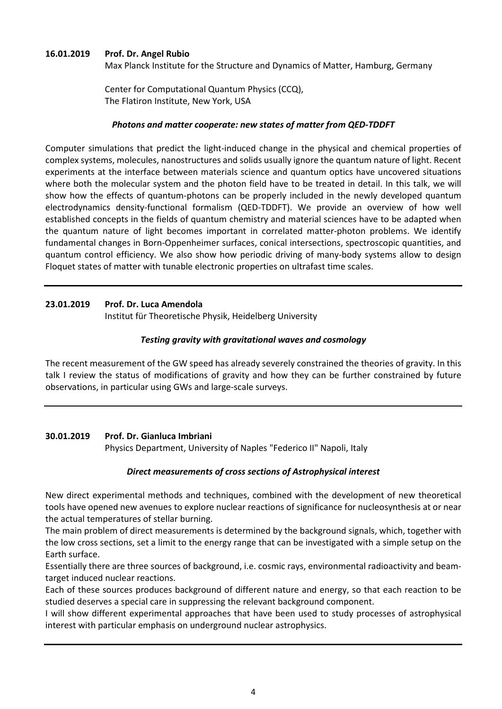#### **16.01.2019 Prof. Dr. Angel Rubio**

Max Planck Institute for the Structure and Dynamics of Matter, Hamburg, Germany

Center for Computational Quantum Physics (CCQ), The Flatiron Institute, New York, USA

#### *Photons and matter cooperate: new states of matter from QED-TDDFT*

Computer simulations that predict the light-induced change in the physical and chemical properties of complex systems, molecules, nanostructures and solids usually ignore the quantum nature of light. Recent experiments at the interface between materials science and quantum optics have uncovered situations where both the molecular system and the photon field have to be treated in detail. In this talk, we will show how the effects of quantum-photons can be properly included in the newly developed quantum electrodynamics density-functional formalism (QED-TDDFT). We provide an overview of how well established concepts in the fields of quantum chemistry and material sciences have to be adapted when the quantum nature of light becomes important in correlated matter-photon problems. We identify fundamental changes in Born-Oppenheimer surfaces, conical intersections, spectroscopic quantities, and quantum control efficiency. We also show how periodic driving of many-body systems allow to design Floquet states of matter with tunable electronic properties on ultrafast time scales.

#### **23.01.2019 Prof. Dr. Luca Amendola**

Institut für Theoretische Physik, Heidelberg University

#### *Testing gravity with gravitational waves and cosmology*

The recent measurement of the GW speed has already severely constrained the theories of gravity. In this talk I review the status of modifications of gravity and how they can be further constrained by future observations, in particular using GWs and large-scale surveys.

#### **30.01.2019 Prof. Dr. Gianluca Imbriani**

Physics Department, University of Naples "Federico II" Napoli, Italy

#### *Direct measurements of cross sections of Astrophysical interest*

New direct experimental methods and techniques, combined with the development of new theoretical tools have opened new avenues to explore nuclear reactions of significance for nucleosynthesis at or near the actual temperatures of stellar burning.

The main problem of direct measurements is determined by the background signals, which, together with the low cross sections, set a limit to the energy range that can be investigated with a simple setup on the Earth surface.

Essentially there are three sources of background, i.e. cosmic rays, environmental radioactivity and beamtarget induced nuclear reactions.

Each of these sources produces background of different nature and energy, so that each reaction to be studied deserves a special care in suppressing the relevant background component.

I will show different experimental approaches that have been used to study processes of astrophysical interest with particular emphasis on underground nuclear astrophysics.